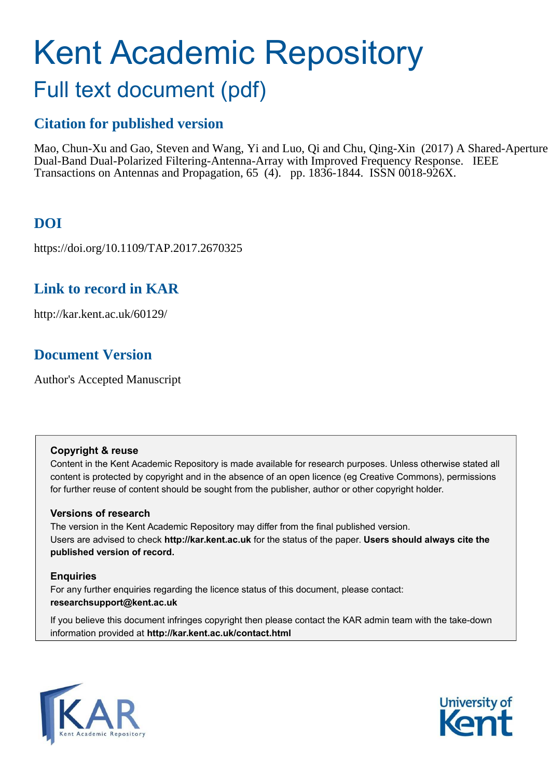# Kent Academic Repository

# Full text document (pdf)

## **Citation for published version**

Mao, Chun-Xu and Gao, Steven and Wang, Yi and Luo, Qi and Chu, Qing-Xin (2017) A Shared-Aperture Dual-Band Dual-Polarized Filtering-Antenna-Array with Improved Frequency Response. IEEE Transactions on Antennas and Propagation, 65 (4). pp. 1836-1844. ISSN 0018-926X.

## **DOI**

https://doi.org/10.1109/TAP.2017.2670325

## **Link to record in KAR**

http://kar.kent.ac.uk/60129/

## **Document Version**

Author's Accepted Manuscript

#### **Copyright & reuse**

Content in the Kent Academic Repository is made available for research purposes. Unless otherwise stated all content is protected by copyright and in the absence of an open licence (eg Creative Commons), permissions for further reuse of content should be sought from the publisher, author or other copyright holder.

#### **Versions of research**

The version in the Kent Academic Repository may differ from the final published version. Users are advised to check **http://kar.kent.ac.uk** for the status of the paper. **Users should always cite the published version of record.**

#### **Enquiries**

For any further enquiries regarding the licence status of this document, please contact: **researchsupport@kent.ac.uk**

If you believe this document infringes copyright then please contact the KAR admin team with the take-down information provided at **http://kar.kent.ac.uk/contact.html**



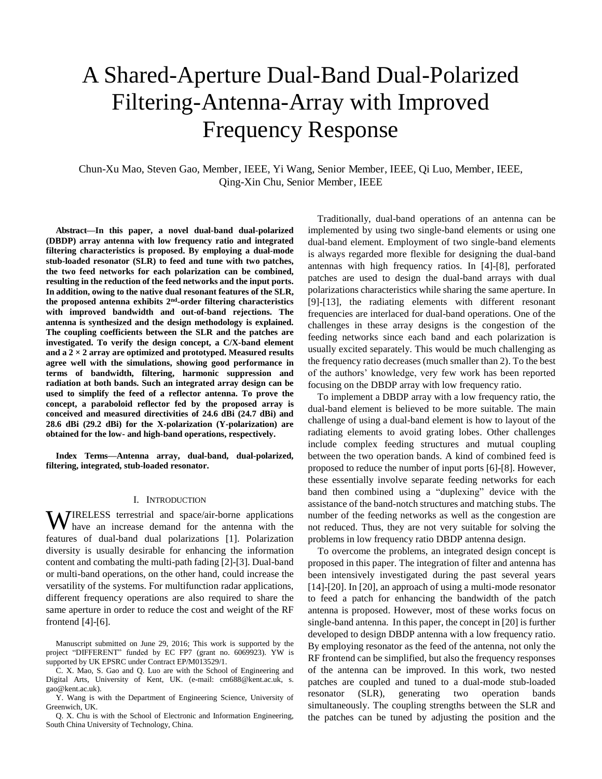## A Shared-Aperture Dual-Band Dual-Polarized Filtering-Antenna-Array with Improved Frequency Response

Chun-Xu Mao, Steven Gao, Member, IEEE, Yi Wang, Senior Member, IEEE, Qi Luo, Member, IEEE, Qing-Xin Chu, Senior Member, IEEE

**Abstract—In this paper, a novel dual-band dual-polarized (DBDP) array antenna with low frequency ratio and integrated filtering characteristics is proposed. By employing a dual-mode stub-loaded resonator (SLR) to feed and tune with two patches, the two feed networks for each polarization can be combined, resulting in the reduction of the feed networks and the input ports. In addition, owing to the native dual resonant features of the SLR, the proposed antenna exhibits 2nd-order filtering characteristics with improved bandwidth and out-of-band rejections. The antenna is synthesized and the design methodology is explained. The coupling coefficients between the SLR and the patches are investigated. To verify the design concept, a C/X-band element and a 2 × 2 array are optimized and prototyped. Measured results agree well with the simulations, showing good performance in terms of bandwidth, filtering, harmonic suppression and radiation at both bands. Such an integrated array design can be used to simplify the feed of a reflector antenna. To prove the concept, a paraboloid reflector fed by the proposed array is conceived and measured directivities of 24.6 dBi (24.7 dBi) and 28.6 dBi (29.2 dBi) for the X-polarization (Y-polarization) are obtained for the low- and high-band operations, respectively.** 

**Index Terms—Antenna array, dual-band, dual-polarized, filtering, integrated, stub-loaded resonator.** 

#### I. INTRODUCTION

**WIRELESS** terrestrial and space/air-borne applications have an increase demand for the antenna with the have an increase demand for the antenna with the features of dual-band dual polarizations [1]. Polarization diversity is usually desirable for enhancing the information content and combating the multi-path fading [2]-[3]. Dual-band or multi-band operations, on the other hand, could increase the versatility of the systems. For multifunction radar applications, different frequency operations are also required to share the same aperture in order to reduce the cost and weight of the RF frontend [4]-[6].

Manuscript submitted on June 29, 2016; This work is supported by the project "DIFFERENT" funded by EC FP7 (grant no. 6069923). YW is supported by UK EPSRC under Contract EP/M013529/1.

Y. Wang is with the Department of Engineering Science, University of Greenwich, UK.

Q. X. Chu is with the School of Electronic and Information Engineering, South China University of Technology, China.

Traditionally, dual-band operations of an antenna can be implemented by using two single-band elements or using one dual-band element. Employment of two single-band elements is always regarded more flexible for designing the dual-band antennas with high frequency ratios. In [4]-[8], perforated patches are used to design the dual-band arrays with dual polarizations characteristics while sharing the same aperture. In [9]-[13], the radiating elements with different resonant frequencies are interlaced for dual-band operations. One of the challenges in these array designs is the congestion of the feeding networks since each band and each polarization is usually excited separately. This would be much challenging as the frequency ratio decreases (much smaller than 2). To the best of the authors' knowledge, very few work has been reported focusing on the DBDP array with low frequency ratio.

To implement a DBDP array with a low frequency ratio, the dual-band element is believed to be more suitable. The main challenge of using a dual-band element is how to layout of the radiating elements to avoid grating lobes. Other challenges include complex feeding structures and mutual coupling between the two operation bands. A kind of combined feed is proposed to reduce the number of input ports [6]-[8]. However, these essentially involve separate feeding networks for each band then combined using a "duplexing" device with the assistance of the band-notch structures and matching stubs. The number of the feeding networks as well as the congestion are not reduced. Thus, they are not very suitable for solving the problems in low frequency ratio DBDP antenna design.

 To overcome the problems, an integrated design concept is proposed in this paper. The integration of filter and antenna has been intensively investigated during the past several years [14]-[20]. In [20], an approach of using a multi-mode resonator to feed a patch for enhancing the bandwidth of the patch antenna is proposed. However, most of these works focus on single-band antenna. In this paper, the concept in [20] is further developed to design DBDP antenna with a low frequency ratio. By employing resonator as the feed of the antenna, not only the RF frontend can be simplified, but also the frequency responses of the antenna can be improved. In this work, two nested patches are coupled and tuned to a dual-mode stub-loaded resonator (SLR), generating two operation bands simultaneously. The coupling strengths between the SLR and the patches can be tuned by adjusting the position and the

C. X. Mao, S. Gao and Q. Luo are with the School of Engineering and Digital Arts, University of Kent, UK. (e-mail: cm688@kent.ac.uk, s. gao@kent.ac.uk).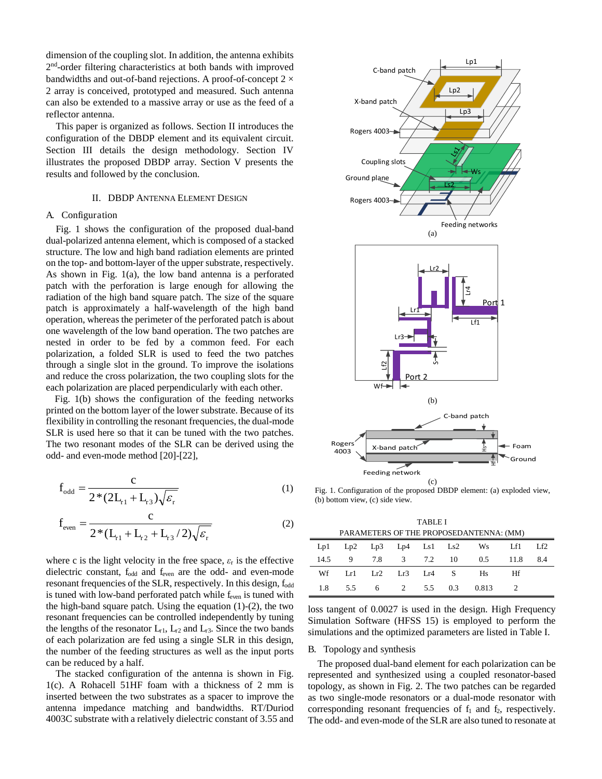dimension of the coupling slot. In addition, the antenna exhibits 2<sup>nd</sup>-order filtering characteristics at both bands with improved bandwidths and out-of-band rejections. A proof-of-concept  $2 \times$ 2 array is conceived, prototyped and measured. Such antenna can also be extended to a massive array or use as the feed of a reflector antenna.

 This paper is organized as follows. Section II introduces the configuration of the DBDP element and its equivalent circuit. Section III details the design methodology. Section IV illustrates the proposed DBDP array. Section V presents the results and followed by the conclusion.

#### II. DBDP ANTENNA ELEMENT DESIGN

#### A. Configuration

 Fig. 1 shows the configuration of the proposed dual-band dual-polarized antenna element, which is composed of a stacked structure. The low and high band radiation elements are printed on the top- and bottom-layer of the upper substrate, respectively. As shown in Fig. 1(a), the low band antenna is a perforated patch with the perforation is large enough for allowing the radiation of the high band square patch. The size of the square patch is approximately a half-wavelength of the high band operation, whereas the perimeter of the perforated patch is about one wavelength of the low band operation. The two patches are nested in order to be fed by a common feed. For each polarization, a folded SLR is used to feed the two patches through a single slot in the ground. To improve the isolations and reduce the cross polarization, the two coupling slots for the each polarization are placed perpendicularly with each other.

Fig. 1(b) shows the configuration of the feeding networks printed on the bottom layer of the lower substrate. Because of its flexibility in controlling the resonant frequencies, the dual-mode SLR is used here so that it can be tuned with the two patches. The two resonant modes of the SLR can be derived using the odd- and even-mode method [20]-[22],

$$
f_{\text{odd}} = \frac{c}{2 \cdot (2L_{r1} + L_{r3}) \sqrt{\varepsilon_r}}
$$
 (1)

$$
f_{even} = \frac{c}{2*(L_{11} + L_{12} + L_{13}/2)\sqrt{\varepsilon_r}}
$$
 (2)

where c is the light velocity in the free space,  $\varepsilon$ <sub>r</sub> is the effective dielectric constant, fodd and feven are the odd- and even-mode resonant frequencies of the SLR, respectively. In this design, f<sub>odd</sub> is tuned with low-band perforated patch while f<sub>even</sub> is tuned with the high-band square patch. Using the equation  $(1)-(2)$ , the two resonant frequencies can be controlled independently by tuning the lengths of the resonator  $L_{r1}$ ,  $L_{r2}$  and  $L_{r3}$ . Since the two bands of each polarization are fed using a single SLR in this design, the number of the feeding structures as well as the input ports can be reduced by a half.

 The stacked configuration of the antenna is shown in Fig. 1(c). A Rohacell 51HF foam with a thickness of 2 mm is inserted between the two substrates as a spacer to improve the antenna impedance matching and bandwidths. RT/Duriod 4003C substrate with a relatively dielectric constant of 3.55 and



Fig. 1. Configuration of the proposed DBDP element: (a) exploded view, (b) bottom view, (c) side view.

TABLE I PARAMETERS OF THE PROPOSEDANTENNA: (MM)

| PARAMETERS OF THE PROPOSEDANTENNA: (MM) |  |  |  |  |  |                                    |  |  |
|-----------------------------------------|--|--|--|--|--|------------------------------------|--|--|
|                                         |  |  |  |  |  | Lp1 Lp2 Lp3 Lp4 Ls1 Ls2 Ws Lf1 Lf2 |  |  |
|                                         |  |  |  |  |  | 14.5 9 7.8 3 7.2 10 0.5 11.8 8.4   |  |  |
|                                         |  |  |  |  |  | Wf Lr1 Lr2 Lr3 Lr4 S Hs Hf         |  |  |
|                                         |  |  |  |  |  | 1.8 5.5 6 2 5.5 0.3 0.813 2        |  |  |

loss tangent of 0.0027 is used in the design. High Frequency Simulation Software (HFSS 15) is employed to perform the simulations and the optimized parameters are listed in Table I.

#### B. Topology and synthesis

 The proposed dual-band element for each polarization can be represented and synthesized using a coupled resonator-based topology, as shown in Fig. 2. The two patches can be regarded as two single-mode resonators or a dual-mode resonator with corresponding resonant frequencies of  $f_1$  and  $f_2$ , respectively. The odd- and even-mode of the SLR are also tuned to resonate at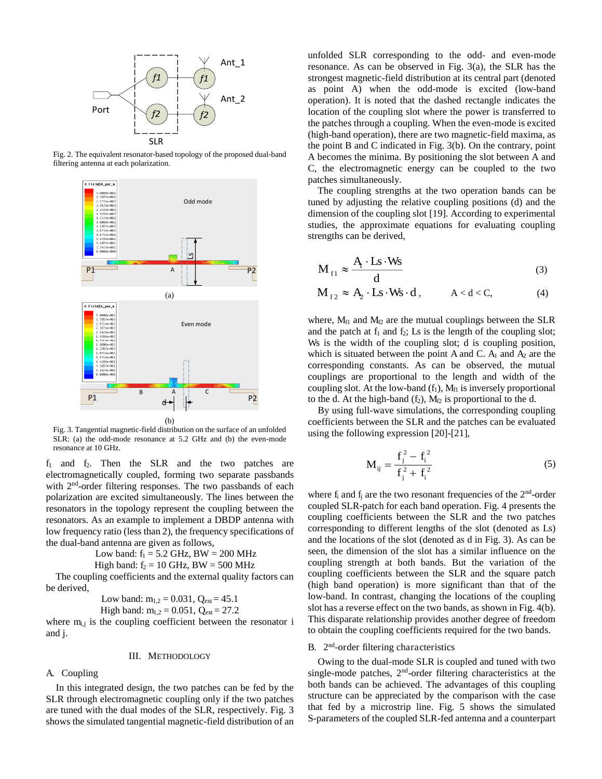

Fig. 2. The equivalent resonator-based topology of the proposed dual-band filtering antenna at each polarization.



Fig. 3. Tangential magnetic-field distribution on the surface of an unfolded SLR: (a) the odd-mode resonance at 5.2 GHz and (b) the even-mode resonance at 10 GHz.

 $f_1$  and  $f_2$ . Then the SLR and the two patches are electromagnetically coupled, forming two separate passbands with 2<sup>nd</sup>-order filtering responses. The two passbands of each polarization are excited simultaneously. The lines between the resonators in the topology represent the coupling between the resonators. As an example to implement a DBDP antenna with low frequency ratio (less than 2), the frequency specifications of the dual-band antenna are given as follows,

> Low band:  $f_1 = 5.2$  GHz, BW = 200 MHz High band:  $f_2 = 10$  GHz, BW = 500 MHz

 The coupling coefficients and the external quality factors can be derived,

Low band:  $m_{1,2} = 0.031$ ,  $Q_{ext} = 45.1$ 

High band:  $m_{1,2} = 0.051$ ,  $Q_{ext} = 27.2$ 

where  $m_{i,j}$  is the coupling coefficient between the resonator i and j.

#### III. METHODOLOGY

#### A. Coupling

 In this integrated design, the two patches can be fed by the SLR through electromagnetic coupling only if the two patches are tuned with the dual modes of the SLR, respectively. Fig. 3 shows the simulated tangential magnetic-field distribution of an

unfolded SLR corresponding to the odd- and even-mode resonance. As can be observed in Fig. 3(a), the SLR has the strongest magnetic-field distribution at its central part (denoted as point A) when the odd-mode is excited (low-band operation). It is noted that the dashed rectangle indicates the location of the coupling slot where the power is transferred to the patches through a coupling. When the even-mode is excited (high-band operation), there are two magnetic-field maxima, as the point B and C indicated in Fig. 3(b). On the contrary, point A becomes the minima. By positioning the slot between A and C, the electromagnetic energy can be coupled to the two patches simultaneously.

 The coupling strengths at the two operation bands can be tuned by adjusting the relative coupling positions (d) and the dimension of the coupling slot [19]. According to experimental studies, the approximate equations for evaluating coupling strengths can be derived,

$$
M_{f1} \approx \frac{A \cdot Ls \cdot Ws}{d}
$$
 (3)

$$
M_{f2} \approx A_2 \cdot Ls \cdot Ws \cdot d\,, \qquad A < d < C,\tag{4}
$$

where,  $M_{f1}$  and  $M_{f2}$  are the mutual couplings between the SLR and the patch at  $f_1$  and  $f_2$ ; Ls is the length of the coupling slot; Ws is the width of the coupling slot; d is coupling position, which is situated between the point A and C.  $A_1$  and  $A_2$  are the corresponding constants. As can be observed, the mutual couplings are proportional to the length and width of the coupling slot. At the low-band  $(f_1)$ ,  $M_f$  is inversely proportional to the d. At the high-band  $(f_2)$ ,  $M_{f2}$  is proportional to the d.

 By using full-wave simulations, the corresponding coupling coefficients between the SLR and the patches can be evaluated using the following expression [20]-[21],

$$
M_{ij} = \frac{f_j^2 - f_i^2}{f_j^2 + f_i^2}
$$
 (5)

where  $f_i$  and  $f_j$  are the two resonant frequencies of the  $2<sup>nd</sup>$ -order coupled SLR-patch for each band operation. Fig. 4 presents the coupling coefficients between the SLR and the two patches corresponding to different lengths of the slot (denoted as Ls) and the locations of the slot (denoted as d in Fig. 3). As can be seen, the dimension of the slot has a similar influence on the coupling strength at both bands. But the variation of the coupling coefficients between the SLR and the square patch (high band operation) is more significant than that of the low-band. In contrast, changing the locations of the coupling slot has a reverse effect on the two bands, as shown in Fig. 4(b). This disparate relationship provides another degree of freedom to obtain the coupling coefficients required for the two bands.

#### B. 2<sup>nd</sup>-order filtering characteristics

 Owing to the dual-mode SLR is coupled and tuned with two single-mode patches,  $2<sup>nd</sup>$ -order filtering characteristics at the both bands can be achieved. The advantages of this coupling structure can be appreciated by the comparison with the case that fed by a microstrip line. Fig. 5 shows the simulated S-parameters of the coupled SLR-fed antenna and a counterpart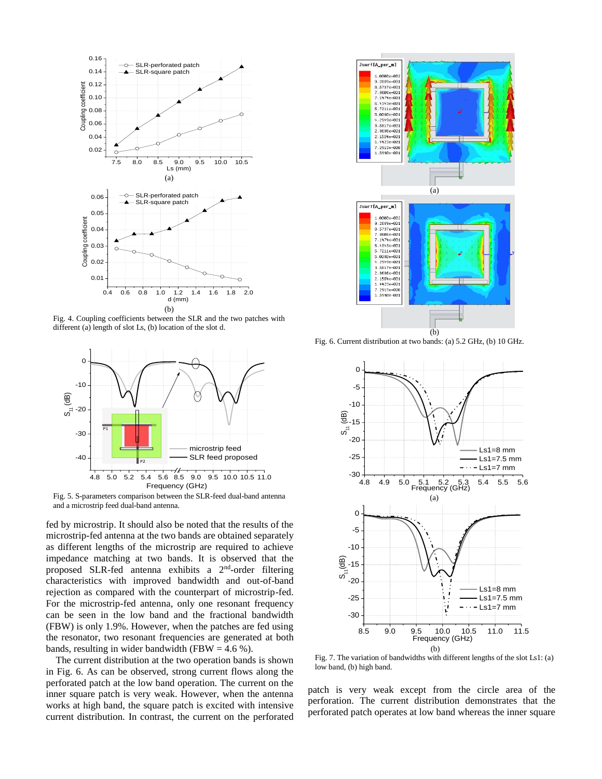

Fig. 4. Coupling coefficients between the SLR and the two patches with different (a) length of slot Ls, (b) location of the slot d.



Fig. 5. S-parameters comparison between the SLR-feed dual-band antenna and a microstrip feed dual-band antenna.

fed by microstrip. It should also be noted that the results of the microstrip-fed antenna at the two bands are obtained separately as different lengths of the microstrip are required to achieve impedance matching at two bands. It is observed that the proposed SLR-fed antenna exhibits a 2nd-order filtering characteristics with improved bandwidth and out-of-band rejection as compared with the counterpart of microstrip-fed. For the microstrip-fed antenna, only one resonant frequency can be seen in the low band and the fractional bandwidth (FBW) is only 1.9%. However, when the patches are fed using the resonator, two resonant frequencies are generated at both bands, resulting in wider bandwidth (FBW = 4.6 %).

 The current distribution at the two operation bands is shown in Fig. 6. As can be observed, strong current flows along the perforated patch at the low band operation. The current on the inner square patch is very weak. However, when the antenna works at high band, the square patch is excited with intensive current distribution. In contrast, the current on the perforated



Fig. 6. Current distribution at two bands: (a) 5.2 GHz, (b) 10 GHz.



Fig. 7. The variation of bandwidths with different lengths of the slot Ls1: (a) low band, (b) high band.

patch is very weak except from the circle area of the perforation. The current distribution demonstrates that the perforated patch operates at low band whereas the inner square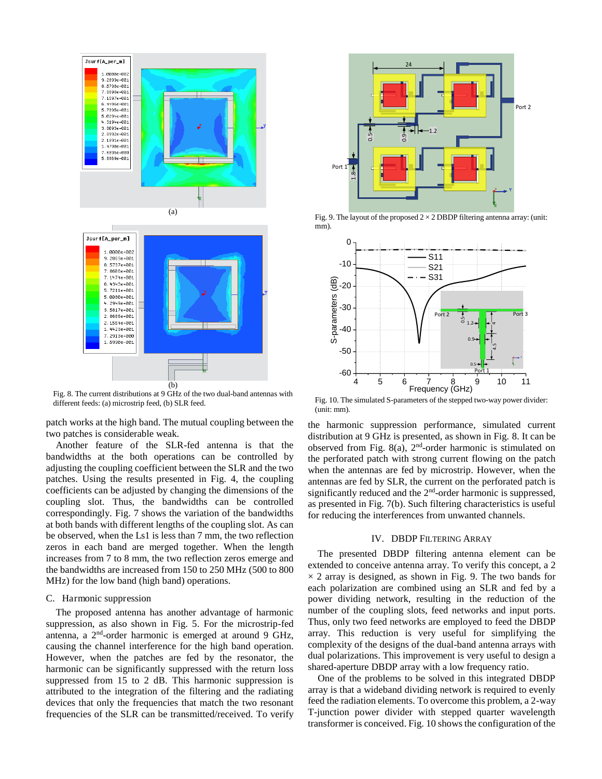

Fig. 8. The current distributions at 9 GHz of the two dual-band antennas with different feeds: (a) microstrip feed, (b) SLR feed.

patch works at the high band. The mutual coupling between the two patches is considerable weak.

 Another feature of the SLR-fed antenna is that the bandwidths at the both operations can be controlled by adjusting the coupling coefficient between the SLR and the two patches. Using the results presented in Fig. 4, the coupling coefficients can be adjusted by changing the dimensions of the coupling slot. Thus, the bandwidths can be controlled correspondingly. Fig. 7 shows the variation of the bandwidths at both bands with different lengths of the coupling slot. As can be observed, when the Ls1 is less than 7 mm, the two reflection zeros in each band are merged together. When the length increases from 7 to 8 mm, the two reflection zeros emerge and the bandwidths are increased from 150 to 250 MHz (500 to 800 MHz) for the low band (high band) operations.

#### C. Harmonic suppression

 The proposed antenna has another advantage of harmonic suppression, as also shown in Fig. 5. For the microstrip-fed antenna, a 2nd-order harmonic is emerged at around 9 GHz, causing the channel interference for the high band operation. However, when the patches are fed by the resonator, the harmonic can be significantly suppressed with the return loss suppressed from 15 to 2 dB. This harmonic suppression is attributed to the integration of the filtering and the radiating devices that only the frequencies that match the two resonant frequencies of the SLR can be transmitted/received. To verify



Fig. 9. The layout of the proposed  $2 \times 2$  DBDP filtering antenna array: (unit: mm).



 Fig. 10. The simulated S-parameters of the stepped two-way power divider: (unit: mm).

the harmonic suppression performance, simulated current distribution at 9 GHz is presented, as shown in Fig. 8. It can be observed from Fig. 8(a),  $2<sup>nd</sup>$ -order harmonic is stimulated on the perforated patch with strong current flowing on the patch when the antennas are fed by microstrip. However, when the antennas are fed by SLR, the current on the perforated patch is significantly reduced and the 2<sup>nd</sup>-order harmonic is suppressed, as presented in Fig. 7(b). Such filtering characteristics is useful for reducing the interferences from unwanted channels.

#### IV. DBDP FILTERING ARRAY

 The presented DBDP filtering antenna element can be extended to conceive antenna array. To verify this concept, a 2  $\times$  2 array is designed, as shown in Fig. 9. The two bands for each polarization are combined using an SLR and fed by a power dividing network, resulting in the reduction of the number of the coupling slots, feed networks and input ports. Thus, only two feed networks are employed to feed the DBDP array. This reduction is very useful for simplifying the complexity of the designs of the dual-band antenna arrays with dual polarizations. This improvement is very useful to design a shared-aperture DBDP array with a low frequency ratio.

 One of the problems to be solved in this integrated DBDP array is that a wideband dividing network is required to evenly feed the radiation elements. To overcome this problem, a 2-way T-junction power divider with stepped quarter wavelength transformer is conceived. Fig. 10 shows the configuration of the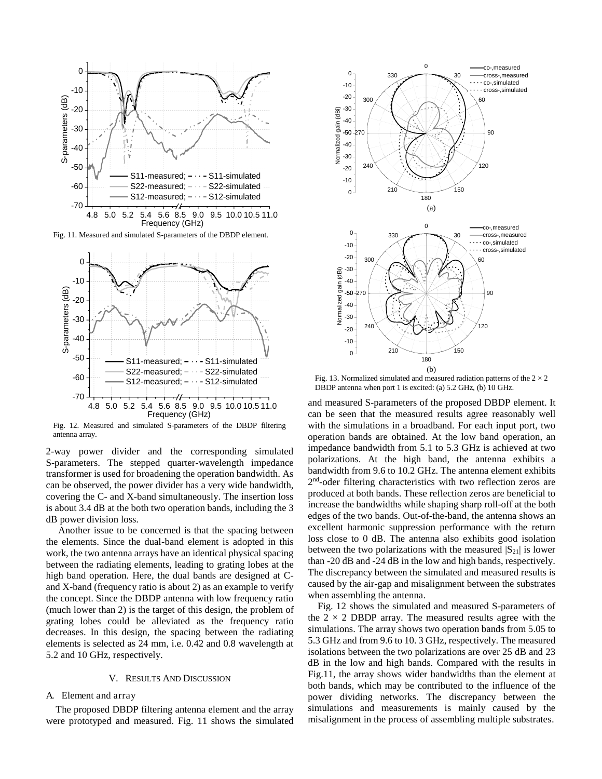

Fig. 11. Measured and simulated S-parameters of the DBDP element.



Fig. 12. Measured and simulated S-parameters of the DBDP filtering antenna array.

2-way power divider and the corresponding simulated S-parameters. The stepped quarter-wavelength impedance transformer is used for broadening the operation bandwidth. As can be observed, the power divider has a very wide bandwidth, covering the C- and X-band simultaneously. The insertion loss is about 3.4 dB at the both two operation bands, including the 3 dB power division loss.

 Another issue to be concerned is that the spacing between the elements. Since the dual-band element is adopted in this work, the two antenna arrays have an identical physical spacing between the radiating elements, leading to grating lobes at the high band operation. Here, the dual bands are designed at Cand X-band (frequency ratio is about 2) as an example to verify the concept. Since the DBDP antenna with low frequency ratio (much lower than 2) is the target of this design, the problem of grating lobes could be alleviated as the frequency ratio decreases. In this design, the spacing between the radiating elements is selected as 24 mm, i.e. 0.42 and 0.8 wavelength at 5.2 and 10 GHz, respectively.

#### V. RESULTS AND DISCUSSION

#### A. Element and array

The proposed DBDP filtering antenna element and the array were prototyped and measured. Fig. 11 shows the simulated



Fig. 13. Normalized simulated and measured radiation patterns of the  $2 \times 2$ DBDP antenna when port 1 is excited: (a) 5.2 GHz, (b) 10 GHz.

and measured S-parameters of the proposed DBDP element. It can be seen that the measured results agree reasonably well with the simulations in a broadband. For each input port, two operation bands are obtained. At the low band operation, an impedance bandwidth from 5.1 to 5.3 GHz is achieved at two polarizations. At the high band, the antenna exhibits a bandwidth from 9.6 to 10.2 GHz. The antenna element exhibits 2 nd-oder filtering characteristics with two reflection zeros are produced at both bands. These reflection zeros are beneficial to increase the bandwidths while shaping sharp roll-off at the both edges of the two bands. Out-of-the-band, the antenna shows an excellent harmonic suppression performance with the return loss close to 0 dB. The antenna also exhibits good isolation between the two polarizations with the measured  $|S_{21}|$  is lower than -20 dB and -24 dB in the low and high bands, respectively. The discrepancy between the simulated and measured results is caused by the air-gap and misalignment between the substrates when assembling the antenna.

Fig. 12 shows the simulated and measured S-parameters of the  $2 \times 2$  DBDP array. The measured results agree with the simulations. The array shows two operation bands from 5.05 to 5.3 GHz and from 9.6 to 10. 3 GHz, respectively. The measured isolations between the two polarizations are over 25 dB and 23 dB in the low and high bands. Compared with the results in Fig.11, the array shows wider bandwidths than the element at both bands, which may be contributed to the influence of the power dividing networks. The discrepancy between the simulations and measurements is mainly caused by the misalignment in the process of assembling multiple substrates.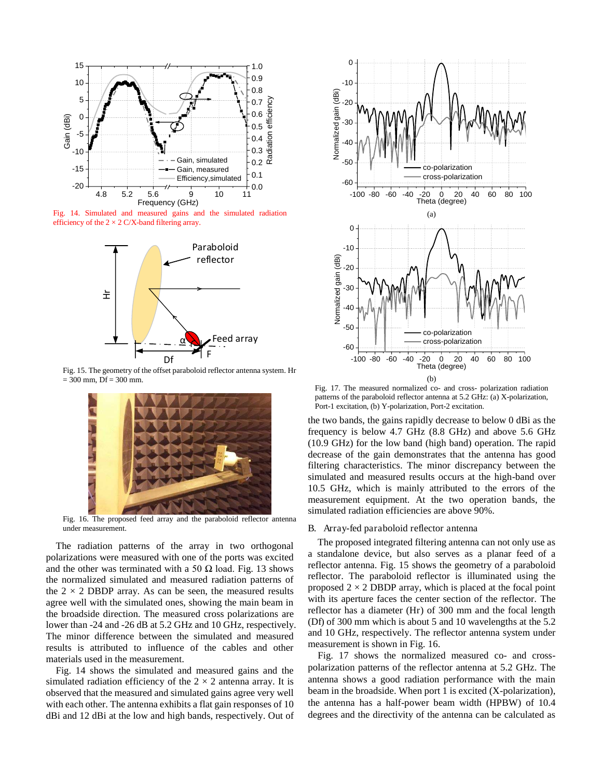

Fig. 14. Simulated and measured gains and the simulated radiation efficiency of the  $2 \times 2$  C/X-band filtering array.



Fig. 15. The geometry of the offset paraboloid reflector antenna system. Hr  $= 300$  mm, Df  $= 300$  mm.



Fig. 16. The proposed feed array and the paraboloid reflector antenna under measurement.

 The radiation patterns of the array in two orthogonal polarizations were measured with one of the ports was excited and the other was terminated with a 50  $\Omega$  load. Fig. 13 shows the normalized simulated and measured radiation patterns of the  $2 \times 2$  DBDP array. As can be seen, the measured results agree well with the simulated ones, showing the main beam in the broadside direction. The measured cross polarizations are lower than -24 and -26 dB at 5.2 GHz and 10 GHz, respectively. The minor difference between the simulated and measured results is attributed to influence of the cables and other materials used in the measurement.

Fig. 14 shows the simulated and measured gains and the simulated radiation efficiency of the  $2 \times 2$  antenna array. It is observed that the measured and simulated gains agree very well with each other. The antenna exhibits a flat gain responses of 10 dBi and 12 dBi at the low and high bands, respectively. Out of



Fig. 17. The measured normalized co- and cross- polarization radiation patterns of the paraboloid reflector antenna at 5.2 GHz: (a) X-polarization, Port-1 excitation, (b) Y-polarization, Port-2 excitation.

the two bands, the gains rapidly decrease to below 0 dBi as the frequency is below 4.7 GHz (8.8 GHz) and above 5.6 GHz (10.9 GHz) for the low band (high band) operation. The rapid decrease of the gain demonstrates that the antenna has good filtering characteristics. The minor discrepancy between the simulated and measured results occurs at the high-band over 10.5 GHz, which is mainly attributed to the errors of the measurement equipment. At the two operation bands, the simulated radiation efficiencies are above 90%.

#### B. Array-fed paraboloid reflector antenna

The proposed integrated filtering antenna can not only use as a standalone device, but also serves as a planar feed of a reflector antenna. Fig. 15 shows the geometry of a paraboloid reflector. The paraboloid reflector is illuminated using the proposed  $2 \times 2$  DBDP array, which is placed at the focal point with its aperture faces the center section of the reflector. The reflector has a diameter (Hr) of 300 mm and the focal length (Df) of 300 mm which is about 5 and 10 wavelengths at the 5.2 and 10 GHz, respectively. The reflector antenna system under measurement is shown in Fig. 16.

 Fig. 17 shows the normalized measured co- and crosspolarization patterns of the reflector antenna at 5.2 GHz. The antenna shows a good radiation performance with the main beam in the broadside. When port 1 is excited (X-polarization), the antenna has a half-power beam width (HPBW) of 10.4 degrees and the directivity of the antenna can be calculated as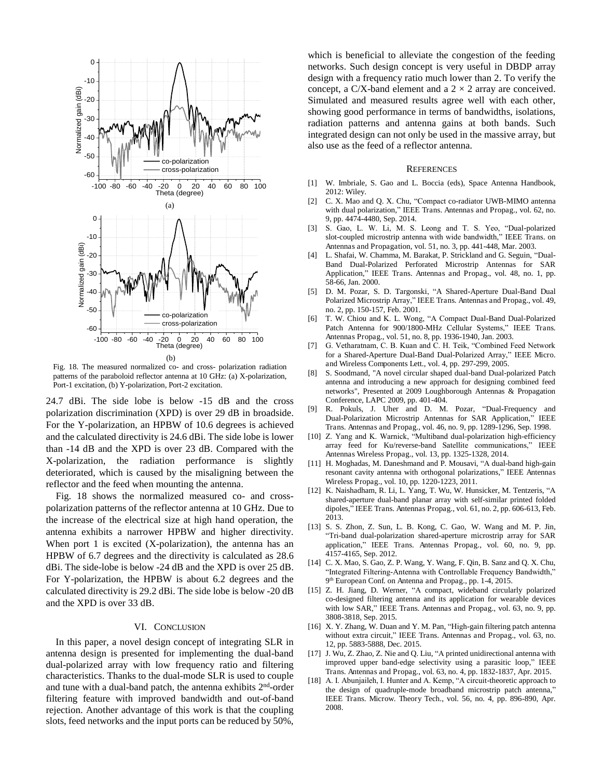

Fig. 18. The measured normalized co- and cross- polarization radiation patterns of the paraboloid reflector antenna at 10 GHz: (a) X-polarization, Port-1 excitation, (b) Y-polarization, Port-2 excitation.

24.7 dBi. The side lobe is below -15 dB and the cross polarization discrimination (XPD) is over 29 dB in broadside. For the Y-polarization, an HPBW of 10.6 degrees is achieved and the calculated directivity is 24.6 dBi. The side lobe is lower than -14 dB and the XPD is over 23 dB. Compared with the X-polarization, the radiation performance is slightly deteriorated, which is caused by the misaligning between the reflector and the feed when mounting the antenna.

 Fig. 18 shows the normalized measured co- and crosspolarization patterns of the reflector antenna at 10 GHz. Due to the increase of the electrical size at high hand operation, the antenna exhibits a narrower HPBW and higher directivity. When port 1 is excited (X-polarization), the antenna has an HPBW of 6.7 degrees and the directivity is calculated as 28.6 dBi. The side-lobe is below -24 dB and the XPD is over 25 dB. For Y-polarization, the HPBW is about 6.2 degrees and the calculated directivity is 29.2 dBi. The side lobe is below -20 dB and the XPD is over 33 dB.

#### VI. CONCLUSION

In this paper, a novel design concept of integrating SLR in antenna design is presented for implementing the dual-band dual-polarized array with low frequency ratio and filtering characteristics. Thanks to the dual-mode SLR is used to couple and tune with a dual-band patch, the antenna exhibits 2<sup>nd</sup>-order filtering feature with improved bandwidth and out-of-band rejection. Another advantage of this work is that the coupling slots, feed networks and the input ports can be reduced by 50%,

which is beneficial to alleviate the congestion of the feeding networks. Such design concept is very useful in DBDP array design with a frequency ratio much lower than 2. To verify the concept, a C/X-band element and a  $2 \times 2$  array are conceived. Simulated and measured results agree well with each other, showing good performance in terms of bandwidths, isolations, radiation patterns and antenna gains at both bands. Such integrated design can not only be used in the massive array, but also use as the feed of a reflector antenna.

#### **REFERENCES**

- [1] W. Imbriale, S. Gao and L. Boccia (eds), Space Antenna Handbook, 2012: Wiley.
- [2] C. X. Mao and Q. X. Chu, "Compact co-radiator UWB-MIMO antenna with dual polarization," IEEE Trans. Antennas and Propag., vol. 62, no. 9, pp. 4474-4480, Sep. 2014.
- [3] S. Gao, L. W. Li, M. S. Leong and T. S. Yeo, "Dual-polarized slot-coupled microstrip antenna with wide bandwidth," IEEE Trans. on Antennas and Propagation, vol. 51, no. 3, pp. 441-448, Mar. 2003.
- [4] L. Shafai, W. Chamma, M. Barakat, P. Strickland and G. Seguin, "Dual-Band Dual-Polarized Perforated Microstrip Antennas for SAR Application," IEEE Trans. Antennas and Propag., vol. 48, no. 1, pp. 58-66, Jan. 2000.
- [5] D. M. Pozar, S. D. Targonski, "A Shared-Aperture Dual-Band Dual Polarized Microstrip Array," IEEE Trans. Antennas and Propag., vol. 49, no. 2, pp. 150-157, Feb. 2001.
- [6] T. W. Chiou and K. L. Wong, "A Compact Dual-Band Dual-Polarized Patch Antenna for 900/1800-MHz Cellular Systems," IEEE Trans. Antennas Propag., vol. 51, no. 8, pp. 1936-1940, Jan. 2003.
- [7] G. Vetharatnam, C. B. Kuan and C. H. Teik, "Combined Feed Network for a Shared-Aperture Dual-Band Dual-Polarized Array," IEEE Micro. and Wireless Components Lett., vol. 4, pp. 297-299, 2005.
- [8] S. Soodmand, "A novel circular shaped dual-band Dual-polarized Patch antenna and introducing a new approach for designing combined feed networks", Presented at 2009 Loughborough Antennas & Propagation Conference, LAPC 2009, pp. 401-404.
- [9] R. Pokuls, J. Uher and D. M. Pozar, "Dual-Frequency and Dual-Polarization Microstrip Antennas for SAR Application," IEEE Trans. Antennas and Propag., vol. 46, no. 9, pp. 1289-1296, Sep. 1998.
- [10] Z. Yang and K. Warnick, "Multiband dual-polarization high-efficiency array feed for Ku/reverse-band Satellite communications," IEEE Antennas Wireless Propag., vol. 13, pp. 1325-1328, 2014.
- [11] H. Moghadas, M. Daneshmand and P. Mousavi, "A dual-band high-gain resonant cavity antenna with orthogonal polarizations," IEEE Antennas Wireless Propag., vol. 10, pp. 1220-1223, 2011.
- [12] K. Naishadham, R. Li, L. Yang, T. Wu, W. Hunsicker, M. Tentzeris, "A shared-aperture dual-band planar array with self-similar printed folded dipoles," IEEE Trans. Antennas Propag., vol. 61, no. 2, pp. 606-613, Feb. 2013.
- [13] S. S. Zhon, Z. Sun, L. B. Kong, C. Gao, W. Wang and M. P. Jin, "Tri-band dual-polarization shared-aperture microstrip array for SAR application," IEEE Trans. Antennas Propag., vol. 60, no. 9, pp. 4157-4165, Sep. 2012.
- [14] C. X. Mao, S. Gao, Z. P. Wang, Y. Wang, F. Qin, B. Sanz and Q. X. Chu, "Integrated Filtering-Antenna with Controllable Frequency Bandwidth," 9<sup>th</sup> European Conf. on Antenna and Propag., pp. 1-4, 2015.
- [15] Z. H. Jiang, D. Werner, "A compact, wideband circularly polarized co-designed filtering antenna and its application for wearable devices with low SAR," IEEE Trans. Antennas and Propag., vol. 63, no. 9, pp. 3808-3818, Sep. 2015.
- [16] X. Y. Zhang, W. Duan and Y. M. Pan, "High-gain filtering patch antenna without extra circuit," IEEE Trans. Antennas and Propag., vol. 63, no. 12, pp. 5883-5888, Dec. 2015.
- [17] J. Wu, Z. Zhao, Z. Nie and Q. Liu, "A printed unidirectional antenna with improved upper band-edge selectivity using a parasitic loop," IEEE Trans. Antennas and Propag., vol. 63, no. 4, pp. 1832-1837, Apr. 2015.
- [18] A. I. Abunjaileh, I. Hunter and A. Kemp, "A circuit-theoretic approach to the design of quadruple-mode broadband microstrip patch antenna," IEEE Trans. Microw. Theory Tech., vol. 56, no. 4, pp. 896-890, Apr. 2008.